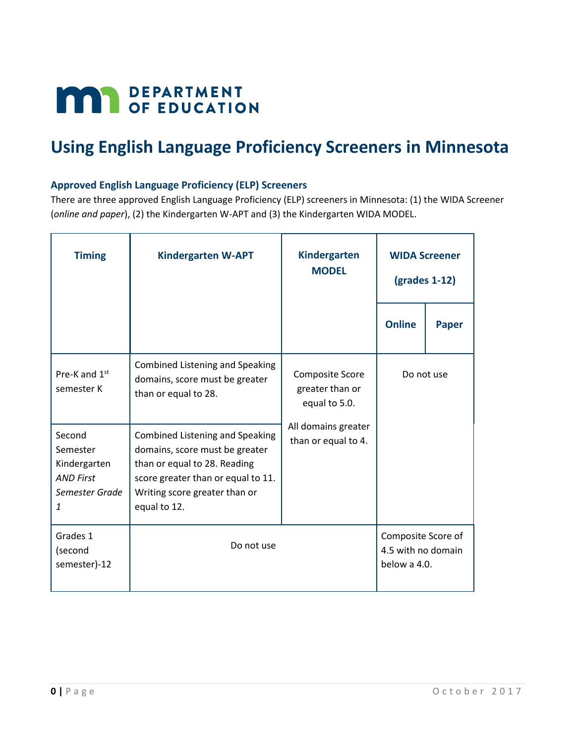# **MAY DEPARTMENT**

# **Using English Language Proficiency Screeners in Minnesota**

# **Approved English Language Proficiency (ELP) Screeners**

There are three approved English Language Proficiency (ELP) screeners in Minnesota: (1) the WIDA Screener (*online and paper*), (2) the Kindergarten W-APT and (3) the Kindergarten WIDA MODEL.

| <b>Timing</b>                                                                 | <b>Kindergarten W-APT</b>                                                                                                                                                                       | <b>Kindergarten</b><br><b>MODEL</b>                 | <b>WIDA Screener</b><br>$\left($ grades 1-12 $\right)$   |              |  |  |
|-------------------------------------------------------------------------------|-------------------------------------------------------------------------------------------------------------------------------------------------------------------------------------------------|-----------------------------------------------------|----------------------------------------------------------|--------------|--|--|
|                                                                               |                                                                                                                                                                                                 |                                                     | <b>Online</b>                                            | <b>Paper</b> |  |  |
| Pre-K and 1st<br>semester K                                                   | <b>Combined Listening and Speaking</b><br>domains, score must be greater<br>than or equal to 28.                                                                                                | Composite Score<br>greater than or<br>equal to 5.0. |                                                          | Do not use   |  |  |
| Second<br>Semester<br>Kindergarten<br><b>AND First</b><br>Semester Grade<br>1 | <b>Combined Listening and Speaking</b><br>domains, score must be greater<br>than or equal to 28. Reading<br>score greater than or equal to 11.<br>Writing score greater than or<br>equal to 12. | All domains greater<br>than or equal to 4.          |                                                          |              |  |  |
| Grades 1<br>(second<br>semester)-12                                           | Do not use                                                                                                                                                                                      |                                                     | Composite Score of<br>4.5 with no domain<br>below a 4.0. |              |  |  |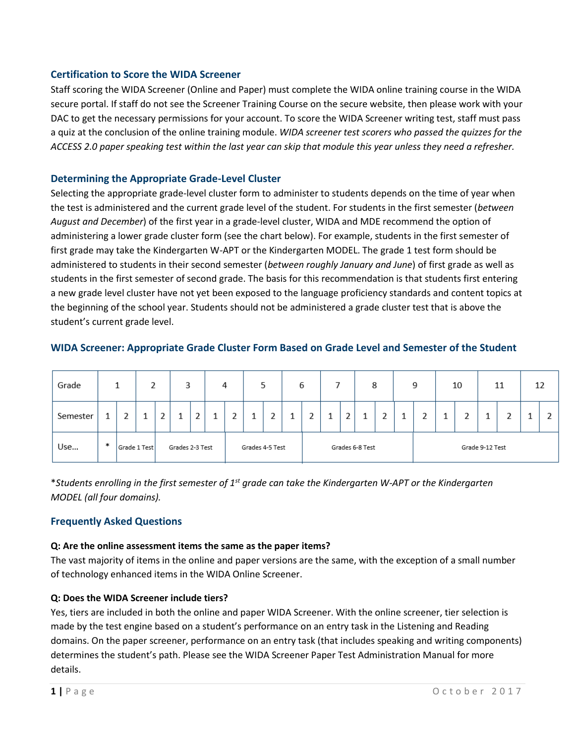#### **Certification to Score the WIDA Screener**

Staff scoring the WIDA Screener (Online and Paper) must complete the WIDA online training course in the WIDA secure portal. If staff do not see the Screener Training Course on the secure website, then please work with your DAC to get the necessary permissions for your account. To score the WIDA Screener writing test, staff must pass a quiz at the conclusion of the online training module. *WIDA screener test scorers who passed the quizzes for the ACCESS 2.0 paper speaking test within the last year can skip that module this year unless they need a refresher.*

#### **Determining the Appropriate Grade-Level Cluster**

Selecting the appropriate grade-level cluster form to administer to students depends on the time of year when the test is administered and the current grade level of the student. For students in the first semester (*between August and December*) of the first year in a grade-level cluster, WIDA and MDE recommend the option of administering a lower grade cluster form (see the chart below). For example, students in the first semester of first grade may take the Kindergarten W-APT or the Kindergarten MODEL. The grade 1 test form should be administered to students in their second semester (*between roughly January and June*) of first grade as well as students in the first semester of second grade. The basis for this recommendation is that students first entering a new grade level cluster have not yet been exposed to the language proficiency standards and content topics at the beginning of the school year. Students should not be administered a grade cluster test that is above the student's current grade level.

| Grade    |   |              |        | 3               |   | 4 |   |                 | ر |  | 6                  |  |  | 8 |                 |  | 9 |  | 10 |  | 11 |  | 12 |
|----------|---|--------------|--------|-----------------|---|---|---|-----------------|---|--|--------------------|--|--|---|-----------------|--|---|--|----|--|----|--|----|
| Semester |   | r.           | $\sim$ |                 | o |   | o |                 |   |  | $\mathcal{D}$<br>∸ |  |  |   | $\sim$          |  | ◠ |  |    |  | o  |  | 2  |
| Use      | ж | Grade 1 Test |        | Grades 2-3 Test |   |   |   | Grades 4-5 Test |   |  | Grades 6-8 Test    |  |  |   | Grade 9-12 Test |  |   |  |    |  |    |  |    |

#### **WIDA Screener: Appropriate Grade Cluster Form Based on Grade Level and Semester of the Student**

\**Students enrolling in the first semester of 1st grade can take the Kindergarten W-APT or the Kindergarten MODEL (all four domains).*

#### **Frequently Asked Questions**

#### **Q: Are the online assessment items the same as the paper items?**

The vast majority of items in the online and paper versions are the same, with the exception of a small number of technology enhanced items in the WIDA Online Screener.

#### **Q: Does the WIDA Screener include tiers?**

Yes, tiers are included in both the online and paper WIDA Screener. With the online screener, tier selection is made by the test engine based on a student's performance on an entry task in the Listening and Reading domains. On the paper screener, performance on an entry task (that includes speaking and writing components) determines the student's path. Please see the WIDA Screener Paper Test Administration Manual for more details.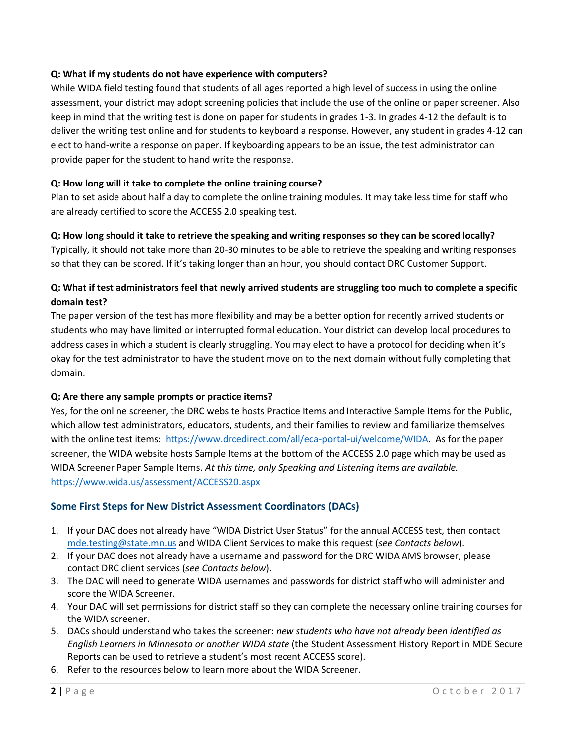#### **Q: What if my students do not have experience with computers?**

While WIDA field testing found that students of all ages reported a high level of success in using the online assessment, your district may adopt screening policies that include the use of the online or paper screener. Also keep in mind that the writing test is done on paper for students in grades 1-3. In grades 4-12 the default is to deliver the writing test online and for students to keyboard a response. However, any student in grades 4-12 can elect to hand-write a response on paper. If keyboarding appears to be an issue, the test administrator can provide paper for the student to hand write the response.

#### **Q: How long will it take to complete the online training course?**

Plan to set aside about half a day to complete the online training modules. It may take less time for staff who are already certified to score the ACCESS 2.0 speaking test.

#### **Q: How long should it take to retrieve the speaking and writing responses so they can be scored locally?**

Typically, it should not take more than 20-30 minutes to be able to retrieve the speaking and writing responses so that they can be scored. If it's taking longer than an hour, you should contact DRC Customer Support.

# **Q: What if test administrators feel that newly arrived students are struggling too much to complete a specific domain test?**

The paper version of the test has more flexibility and may be a better option for recently arrived students or students who may have limited or interrupted formal education. Your district can develop local procedures to address cases in which a student is clearly struggling. You may elect to have a protocol for deciding when it's okay for the test administrator to have the student move on to the next domain without fully completing that domain.

#### **Q: Are there any sample prompts or practice items?**

Yes, for the online screener, the DRC website hosts Practice Items and Interactive Sample Items for the Public, which allow test administrators, educators, students, and their families to review and familiarize themselves with the online test items: [https://www.drcedirect.com/all/eca-portal-ui/welcome/WIDA.](https://www.drcedirect.com/all/eca-portal-ui/welcome/WIDA) As for the paper screener, the WIDA website hosts Sample Items at the bottom of the ACCESS 2.0 page which may be used as WIDA Screener Paper Sample Items. *At this time, only Speaking and Listening items are available.* <https://www.wida.us/assessment/ACCESS20.aspx>

# **Some First Steps for New District Assessment Coordinators (DACs)**

- 1. If your DAC does not already have "WIDA District User Status" for the annual ACCESS test, then contact [mde.testing@state.mn.us](mailto:mde.testing@state.mn.us) and WIDA Client Services to make this request (*see Contacts below*).
- 2. If your DAC does not already have a username and password for the DRC WIDA AMS browser, please contact DRC client services (*see Contacts below*).
- 3. The DAC will need to generate WIDA usernames and passwords for district staff who will administer and score the WIDA Screener.
- 4. Your DAC will set permissions for district staff so they can complete the necessary online training courses for the WIDA screener.
- 5. DACs should understand who takes the screener: *new students who have not already been identified as English Learners in Minnesota or another WIDA state* (the Student Assessment History Report in MDE Secure Reports can be used to retrieve a student's most recent ACCESS score).
- 6. Refer to the resources below to learn more about the WIDA Screener.